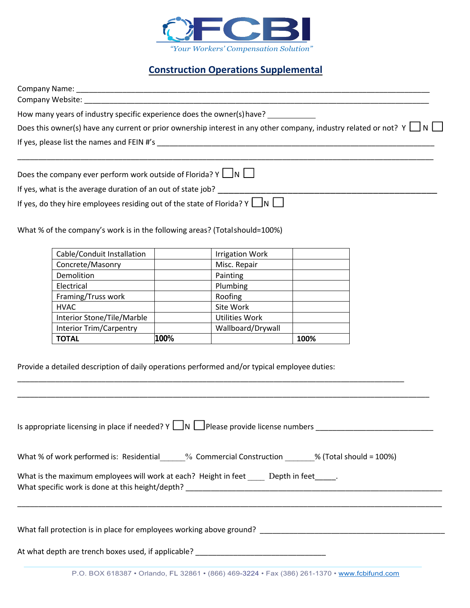

## **Construction Operations Supplemental**

| How many years of industry specific experience does the owner(s) have? |                                                                                  |                                                                                                |                                                                                                                           |  |  |  |  |  |
|------------------------------------------------------------------------|----------------------------------------------------------------------------------|------------------------------------------------------------------------------------------------|---------------------------------------------------------------------------------------------------------------------------|--|--|--|--|--|
|                                                                        |                                                                                  |                                                                                                |                                                                                                                           |  |  |  |  |  |
|                                                                        |                                                                                  |                                                                                                | Does this owner(s) have any current or prior ownership interest in any other company, industry related or not? $Y \Box N$ |  |  |  |  |  |
|                                                                        | If yes, please list the names and FEIN #'s                                       |                                                                                                |                                                                                                                           |  |  |  |  |  |
|                                                                        |                                                                                  |                                                                                                |                                                                                                                           |  |  |  |  |  |
|                                                                        | Does the company ever perform work outside of Florida? $Y \bigsqcup N \bigsqcup$ |                                                                                                |                                                                                                                           |  |  |  |  |  |
|                                                                        | If yes, what is the average duration of an out of state job?                     |                                                                                                |                                                                                                                           |  |  |  |  |  |
|                                                                        |                                                                                  | If yes, do they hire employees residing out of the state of Florida? $Y \bigsqcup N \bigsqcup$ |                                                                                                                           |  |  |  |  |  |
|                                                                        |                                                                                  |                                                                                                |                                                                                                                           |  |  |  |  |  |
|                                                                        |                                                                                  | What % of the company's work is in the following areas? (Total should=100%)                    |                                                                                                                           |  |  |  |  |  |
|                                                                        |                                                                                  |                                                                                                |                                                                                                                           |  |  |  |  |  |
|                                                                        | Cable/Conduit Installation                                                       | <b>Irrigation Work</b>                                                                         |                                                                                                                           |  |  |  |  |  |
|                                                                        | Concrete/Masonry                                                                 | Misc. Repair                                                                                   |                                                                                                                           |  |  |  |  |  |
|                                                                        | Demolition                                                                       | Painting                                                                                       |                                                                                                                           |  |  |  |  |  |
|                                                                        | Electrical                                                                       | Plumbing                                                                                       |                                                                                                                           |  |  |  |  |  |
|                                                                        | Framing/Truss work                                                               | Roofing                                                                                        |                                                                                                                           |  |  |  |  |  |
|                                                                        | <b>HVAC</b>                                                                      | Site Work                                                                                      |                                                                                                                           |  |  |  |  |  |
|                                                                        | Interior Stone/Tile/Marble                                                       | <b>Utilities Work</b>                                                                          |                                                                                                                           |  |  |  |  |  |
|                                                                        | <b>Interior Trim/Carpentry</b>                                                   | Wallboard/Drywall                                                                              |                                                                                                                           |  |  |  |  |  |

Provide a detailed description of daily operations performed and/or typical employee duties:

**100%**

**TOTAL 100%**

\_\_\_\_\_\_\_\_\_\_\_\_\_\_\_\_\_\_\_\_\_\_\_\_\_\_\_\_\_\_\_\_\_\_\_\_\_\_\_\_\_\_\_\_\_\_\_\_\_\_\_\_\_\_\_\_\_\_\_\_\_\_\_\_\_\_\_\_\_\_\_\_\_\_\_\_\_\_\_\_\_\_\_\_\_\_\_\_\_\_\_\_

| Is appropriate licensing in place if needed? $Y \Box N \Box P$ Please provide license numbers |
|-----------------------------------------------------------------------------------------------|
| What % of work performed is: Residential % Commercial Construction % (Total should = 100%)    |
| What is the maximum employees will work at each? Height in feet Depth in feet _____.          |
| What fall protection is in place for employees working above ground?                          |
| At what depth are trench boxes used, if applicable?                                           |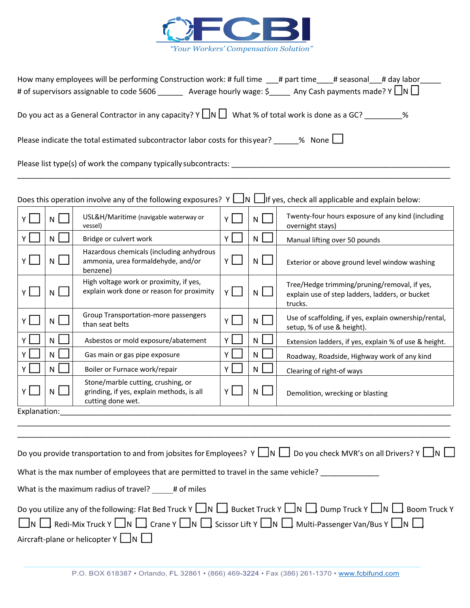

| How many employees will be performing Construction work: # full time ___# part time ___# seasonal __# day labor<br># of supervisors assignable to code 5606 _______ Average hourly wage: \$_____ Any Cash payments made? Y $\Box$ N $\Box$ |
|--------------------------------------------------------------------------------------------------------------------------------------------------------------------------------------------------------------------------------------------|
| Do you act as a General Contractor in any capacity? $Y \cup N \cup$ What % of total work is done as a GC?                                                                                                                                  |
| Please indicate the total estimated subcontractor labor costs for this year? $\blacksquare$                                                                                                                                                |
| Please list type(s) of work the company typically subcontracts:                                                                                                                                                                            |

| Does this operation involve any of the following exposures? $Y \Box N \Box$ If yes, check all applicable and explain below: |              |                                                                                                      |              |     |                                                                                                            |  |
|-----------------------------------------------------------------------------------------------------------------------------|--------------|------------------------------------------------------------------------------------------------------|--------------|-----|------------------------------------------------------------------------------------------------------------|--|
| Y.                                                                                                                          | N            | USL&H/Maritime (navigable waterway or<br>vessel)                                                     | <b>V</b>     |     | Twenty-four hours exposure of any kind (including<br>overnight stays)                                      |  |
| ΥI                                                                                                                          | N.           | Bridge or culvert work                                                                               | Y            | N.  | Manual lifting over 50 pounds                                                                              |  |
| $Y \mid$                                                                                                                    | $N$ $L$      | Hazardous chemicals (including anhydrous<br>ammonia, urea formaldehyde, and/or<br>benzene)           | Υl           | N I | Exterior or above ground level window washing                                                              |  |
| ΥI                                                                                                                          | N            | High voltage work or proximity, if yes,<br>explain work done or reason for proximity                 | $\mathsf{v}$ |     | Tree/Hedge trimming/pruning/removal, if yes,<br>explain use of step ladders, ladders, or bucket<br>trucks. |  |
| Y                                                                                                                           | $N \lfloor$  | Group Transportation-more passengers<br>than seat belts                                              | Υ            | N   | Use of scaffolding, if yes, explain ownership/rental,<br>setup, % of use & height).                        |  |
|                                                                                                                             | ΝI           | Asbestos or mold exposure/abatement                                                                  | Y            | N.  | Extension ladders, if yes, explain % of use & height.                                                      |  |
| Y.                                                                                                                          | N.           | Gas main or gas pipe exposure                                                                        | Y            | N   | Roadway, Roadside, Highway work of any kind                                                                |  |
| Y                                                                                                                           | N            | Boiler or Furnace work/repair                                                                        | Y            | N.  | Clearing of right-of ways                                                                                  |  |
| Y                                                                                                                           | $\mathsf{N}$ | Stone/marble cutting, crushing, or<br>grinding, if yes, explain methods, is all<br>cutting done wet. | Υl           | N   | Demolition, wrecking or blasting                                                                           |  |
| Explanation:                                                                                                                |              |                                                                                                      |              |     |                                                                                                            |  |

| Do you provide transportation to and from jobsites for Employees? $Y \cap N$ Do you check MVR's on all Drivers? $Y \cap N$                                                                                                                                                                                                                      |
|-------------------------------------------------------------------------------------------------------------------------------------------------------------------------------------------------------------------------------------------------------------------------------------------------------------------------------------------------|
| What is the max number of employees that are permitted to travel in the same vehicle?                                                                                                                                                                                                                                                           |
| What is the maximum radius of travel? # of miles                                                                                                                                                                                                                                                                                                |
| Do you utilize any of the following: Flat Bed Truck Y $\Box N \Box B$ Bucket Truck Y $\Box N \Box$ Dump Truck Y $\Box N \Box B$ Boom Truck Y<br>$\Box$ N $\Box$ Redi-Mix Truck Y $\Box$ N $\Box$ Crane Y $\Box$ N $\Box$ Scissor Lift Y $\Box$ N $\Box$ Multi-Passenger Van/Bus Y $\Box$ N $\Box$<br>Aircraft-plane or helicopter $Y \square N$ |

\_\_\_\_\_\_\_\_\_\_\_\_\_\_\_\_\_\_\_\_\_\_\_\_\_\_\_\_\_\_\_\_\_\_\_\_\_\_\_\_\_\_\_\_\_\_\_\_\_\_\_\_\_\_\_\_\_\_\_\_\_\_\_\_\_\_\_\_\_\_\_\_\_\_\_\_\_\_\_\_\_\_\_\_\_\_\_\_\_\_\_\_\_\_\_\_\_\_\_\_\_\_\_ \_\_\_\_\_\_\_\_\_\_\_\_\_\_\_\_\_\_\_\_\_\_\_\_\_\_\_\_\_\_\_\_\_\_\_\_\_\_\_\_\_\_\_\_\_\_\_\_\_\_\_\_\_\_\_\_\_\_\_\_\_\_\_\_\_\_\_\_\_\_\_\_\_\_\_\_\_\_\_\_\_\_\_\_\_\_\_\_\_\_\_\_\_\_\_\_\_\_\_\_\_\_\_